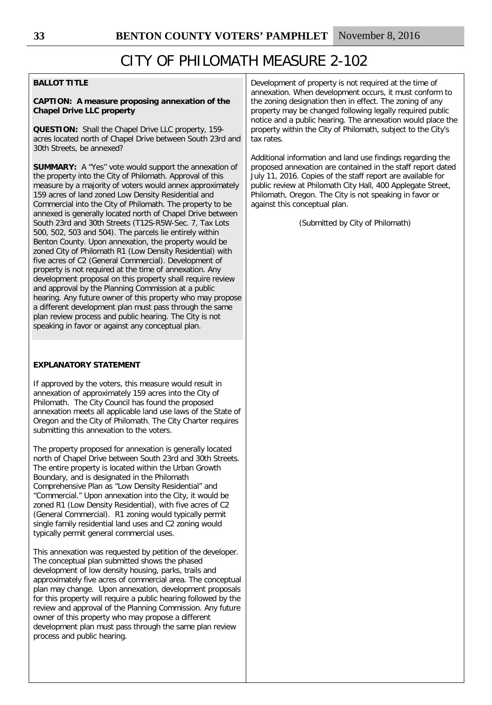### **BALLOT TITLE**

### **CAPTION: A measure proposing annexation of the Chapel Drive LLC property**

**QUESTION:** Shall the Chapel Drive LLC property, 159 acres located north of Chapel Drive between South 23rd and 30th Streets, be annexed?

**SUMMARY:** A "Yes" vote would support the annexation of the property into the City of Philomath. Approval of this measure by a majority of voters would annex approximately 159 acres of land zoned Low Density Residential and Commercial into the City of Philomath. The property to be annexed is generally located north of Chapel Drive between South 23rd and 30th Streets (T12S-R5W-Sec. 7, Tax Lots 500, 502, 503 and 504). The parcels lie entirely within Benton County. Upon annexation, the property would be zoned City of Philomath R1 (Low Density Residential) with five acres of C2 (General Commercial). Development of property is not required at the time of annexation. Any development proposal on this property shall require review and approval by the Planning Commission at a public hearing. Any future owner of this property who may propose a different development plan must pass through the same plan review process and public hearing. The City is not speaking in favor or against any conceptual plan.

### **EXPLANATORY STATEMENT**

If approved by the voters, this measure would result in annexation of approximately 159 acres into the City of Philomath. The City Council has found the proposed annexation meets all applicable land use laws of the State of Oregon and the City of Philomath. The City Charter requires submitting this annexation to the voters.

The property proposed for annexation is generally located north of Chapel Drive between South 23rd and 30th Streets. The entire property is located within the Urban Growth Boundary, and is designated in the Philomath Comprehensive Plan as "Low Density Residential" and "Commercial." Upon annexation into the City, it would be zoned R1 (Low Density Residential), with five acres of C2 (General Commercial). R1 zoning would typically permit single family residential land uses and C2 zoning would typically permit general commercial uses.

This annexation was requested by petition of the developer. The conceptual plan submitted shows the phased development of low density housing, parks, trails and approximately five acres of commercial area. The conceptual plan may change. Upon annexation, development proposals for this property will require a public hearing followed by the review and approval of the Planning Commission. Any future owner of this property who may propose a different development plan must pass through the same plan review process and public hearing.

Development of property is not required at the time of annexation. When development occurs, it must conform to the zoning designation then in effect. The zoning of any property may be changed following legally required public notice and a public hearing. The annexation would place the property within the City of Philomath, subject to the City's tax rates.

Additional information and land use findings regarding the proposed annexation are contained in the staff report dated July 11, 2016. Copies of the staff report are available for public review at Philomath City Hall, 400 Applegate Street, Philomath, Oregon. The City is not speaking in favor or against this conceptual plan.

(Submitted by City of Philomath)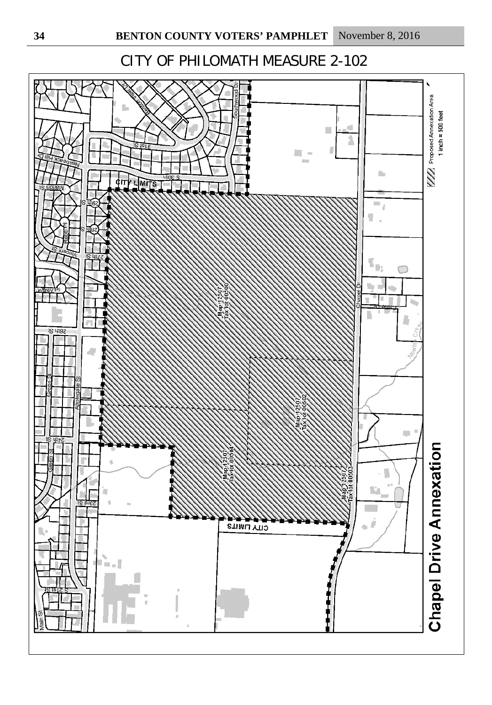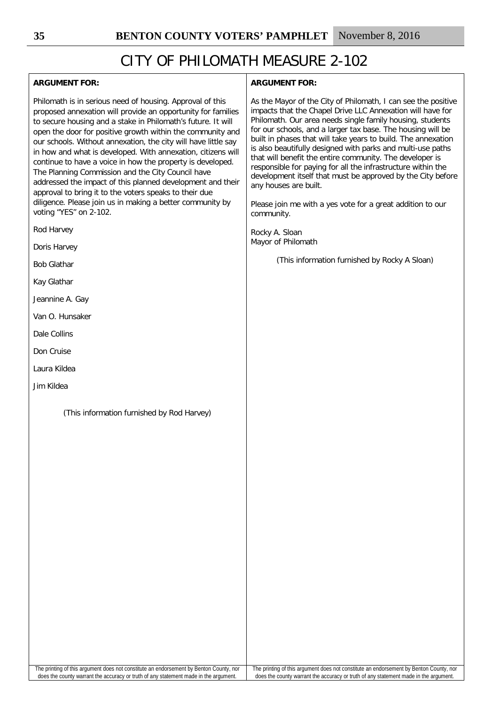| <b>ARGUMENT FOR:</b>                                                                                                                                                                                                                                                                                                                                                                                                                                                                                                                                                                                                                                                                                                        | <b>ARGUMENT FOR:</b>                                                                                                                                                                                                                                                                                                                                                                                                                                                                                                                                                                                                                                                                    |
|-----------------------------------------------------------------------------------------------------------------------------------------------------------------------------------------------------------------------------------------------------------------------------------------------------------------------------------------------------------------------------------------------------------------------------------------------------------------------------------------------------------------------------------------------------------------------------------------------------------------------------------------------------------------------------------------------------------------------------|-----------------------------------------------------------------------------------------------------------------------------------------------------------------------------------------------------------------------------------------------------------------------------------------------------------------------------------------------------------------------------------------------------------------------------------------------------------------------------------------------------------------------------------------------------------------------------------------------------------------------------------------------------------------------------------------|
| Philomath is in serious need of housing. Approval of this<br>proposed annexation will provide an opportunity for families<br>to secure housing and a stake in Philomath's future. It will<br>open the door for positive growth within the community and<br>our schools. Without annexation, the city will have little say<br>in how and what is developed. With annexation, citizens will<br>continue to have a voice in how the property is developed.<br>The Planning Commission and the City Council have<br>addressed the impact of this planned development and their<br>approval to bring it to the voters speaks to their due<br>diligence. Please join us in making a better community by<br>voting "YES" on 2-102. | As the Mayor of the City of Philomath, I can see the positive<br>impacts that the Chapel Drive LLC Annexation will have for<br>Philomath. Our area needs single family housing, students<br>for our schools, and a larger tax base. The housing will be<br>built in phases that will take years to build. The annexation<br>is also beautifully designed with parks and multi-use paths<br>that will benefit the entire community. The developer is<br>responsible for paying for all the infrastructure within the<br>development itself that must be approved by the City before<br>any houses are built.<br>Please join me with a yes vote for a great addition to our<br>community. |
| Rod Harvey                                                                                                                                                                                                                                                                                                                                                                                                                                                                                                                                                                                                                                                                                                                  | Rocky A. Sloan                                                                                                                                                                                                                                                                                                                                                                                                                                                                                                                                                                                                                                                                          |
| Doris Harvey                                                                                                                                                                                                                                                                                                                                                                                                                                                                                                                                                                                                                                                                                                                | Mayor of Philomath                                                                                                                                                                                                                                                                                                                                                                                                                                                                                                                                                                                                                                                                      |
| <b>Bob Glathar</b>                                                                                                                                                                                                                                                                                                                                                                                                                                                                                                                                                                                                                                                                                                          | (This information furnished by Rocky A Sloan)                                                                                                                                                                                                                                                                                                                                                                                                                                                                                                                                                                                                                                           |
| Kay Glathar                                                                                                                                                                                                                                                                                                                                                                                                                                                                                                                                                                                                                                                                                                                 |                                                                                                                                                                                                                                                                                                                                                                                                                                                                                                                                                                                                                                                                                         |
| Jeannine A. Gay                                                                                                                                                                                                                                                                                                                                                                                                                                                                                                                                                                                                                                                                                                             |                                                                                                                                                                                                                                                                                                                                                                                                                                                                                                                                                                                                                                                                                         |
| Van O. Hunsaker                                                                                                                                                                                                                                                                                                                                                                                                                                                                                                                                                                                                                                                                                                             |                                                                                                                                                                                                                                                                                                                                                                                                                                                                                                                                                                                                                                                                                         |
| Dale Collins                                                                                                                                                                                                                                                                                                                                                                                                                                                                                                                                                                                                                                                                                                                |                                                                                                                                                                                                                                                                                                                                                                                                                                                                                                                                                                                                                                                                                         |
| Don Cruise                                                                                                                                                                                                                                                                                                                                                                                                                                                                                                                                                                                                                                                                                                                  |                                                                                                                                                                                                                                                                                                                                                                                                                                                                                                                                                                                                                                                                                         |
| Laura Kildea                                                                                                                                                                                                                                                                                                                                                                                                                                                                                                                                                                                                                                                                                                                |                                                                                                                                                                                                                                                                                                                                                                                                                                                                                                                                                                                                                                                                                         |
| Jim Kildea                                                                                                                                                                                                                                                                                                                                                                                                                                                                                                                                                                                                                                                                                                                  |                                                                                                                                                                                                                                                                                                                                                                                                                                                                                                                                                                                                                                                                                         |
| (This information furnished by Rod Harvey)                                                                                                                                                                                                                                                                                                                                                                                                                                                                                                                                                                                                                                                                                  |                                                                                                                                                                                                                                                                                                                                                                                                                                                                                                                                                                                                                                                                                         |

The printing of this argument does not constitute an endorsement by Benton County, nor does the county warrant the accuracy or truth of any statement made in the argument.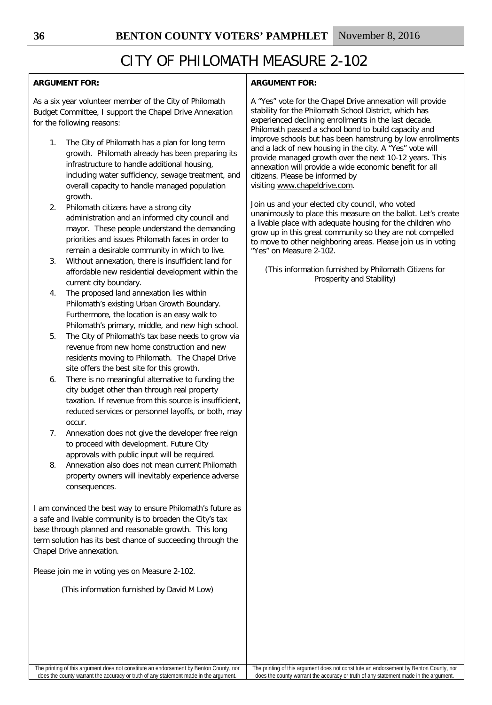## **ARGUMENT FOR:**

As a six year volunteer member of the City of Philomath Budget Committee, I support the Chapel Drive Annexation for the following reasons:

- 1. The City of Philomath has a plan for long term growth. Philomath already has been preparing its infrastructure to handle additional housing, including water sufficiency, sewage treatment, and overall capacity to handle managed population growth.
- 2. Philomath citizens have a strong city administration and an informed city council and mayor. These people understand the demanding priorities and issues Philomath faces in order to remain a desirable community in which to live.
- 3. Without annexation, there is insufficient land for affordable new residential development within the current city boundary.
- 4. The proposed land annexation lies within Philomath's existing Urban Growth Boundary. Furthermore, the location is an easy walk to Philomath's primary, middle, and new high school.
- 5. The City of Philomath's tax base needs to grow via revenue from new home construction and new residents moving to Philomath. The Chapel Drive site offers the best site for this growth.
- 6. There is no meaningful alternative to funding the city budget other than through real property taxation. If revenue from this source is insufficient, reduced services or personnel layoffs, or both, may occur.
- 7. Annexation does not give the developer free reign to proceed with development. Future City approvals with public input will be required.
- 8. Annexation also does not mean current Philomath property owners will inevitably experience adverse consequences.

I am convinced the best way to ensure Philomath's future as a safe and livable community is to broaden the City's tax base through planned and reasonable growth. This long term solution has its best chance of succeeding through the Chapel Drive annexation.

Please join me in voting yes on Measure 2-102.

(This information furnished by David M Low)

## **ARGUMENT FOR:**

A "Yes" vote for the Chapel Drive annexation will provide stability for the Philomath School District, which has experienced declining enrollments in the last decade. Philomath passed a school bond to build capacity and improve schools but has been hamstrung by low enrollments and a lack of new housing in the city. A "Yes" vote will provide managed growth over the next 10-12 years. This annexation will provide a wide economic benefit for all citizens. Please be informed by visiting [www.chapeldrive.com.](http://www.chapeldrive.com/)

Join us and your elected city council, who voted unanimously to place this measure on the ballot. Let's create a livable place with adequate housing for the children who grow up in this great community so they are not compelled to move to other neighboring areas. Please join us in voting "Yes" on Measure 2-102.

(This information furnished by Philomath Citizens for Prosperity and Stability)

The printing of this argument does not constitute an endorsement by Benton County, nor does the county warrant the accuracy or truth of any statement made in the argument.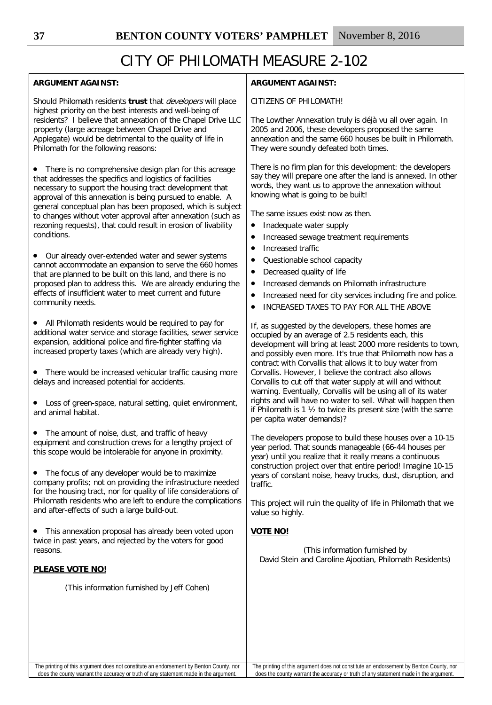#### **ARGUMENT AGAINST:** Should Philomath residents **trust** that developers will place highest priority on the best interests and well-being of residents? I believe that annexation of the Chapel Drive LLC property (large acreage between Chapel Drive and Applegate) would be detrimental to the quality of life in Philomath for the following reasons: There is no comprehensive design plan for this acreage that addresses the specifics and logistics of facilities necessary to support the housing tract development that approval of this annexation is being pursued to enable. A general conceptual plan has been proposed, which is subject to changes without voter approval after annexation (such as rezoning requests), that could result in erosion of livability conditions. • Our already over-extended water and sewer systems cannot accommodate an expansion to serve the 660 homes that are planned to be built on this land, and there is no proposed plan to address this. We are already enduring the effects of insufficient water to meet current and future community needs. • All Philomath residents would be required to pay for additional water service and storage facilities, sewer service expansion, additional police and fire-fighter staffing via increased property taxes (which are already very high). • There would be increased vehicular traffic causing more delays and increased potential for accidents. Loss of green-space, natural setting, quiet environment, and animal habitat. • The amount of noise, dust, and traffic of heavy equipment and construction crews for a lengthy project of this scope would be intolerable for anyone in proximity. • The focus of any developer would be to maximize company profits; not on providing the infrastructure needed for the housing tract, nor for quality of life considerations of Philomath residents who are left to endure the complications and after-effects of such a large build-out. This annexation proposal has already been voted upon twice in past years, and rejected by the voters for good reasons. **PLEASE VOTE NO!** (This information furnished by Jeff Cohen) **ARGUMENT AGAINST:** CITIZENS OF PHILOMATH! The Lowther Annexation truly is déjà vu all over again. In 2005 and 2006, these developers proposed the same annexation and the same 660 houses be built in Philomath. They were soundly defeated both times. There is no firm plan for this development: the developers say they will prepare one after the land is annexed. In other words, they want us to approve the annexation without knowing what is going to be built! The same issues exist now as then. • Inadequate water supply • Increased sewage treatment requirements • Increased traffic • Questionable school capacity • Decreased quality of life • Increased demands on Philomath infrastructure • Increased need for city services including fire and police. • INCREASED TAXES TO PAY FOR ALL THE ABOVE If, as suggested by the developers, these homes are occupied by an average of 2.5 residents each, this development will bring at least 2000 more residents to town, and possibly even more. It's true that Philomath now has a contract with Corvallis that allows it to buy water from Corvallis. However, I believe the contract also allows Corvallis to cut off that water supply at will and without warning. Eventually, Corvallis will be using all of its water rights and will have no water to sell. What will happen then if Philomath is 1 ½ to twice its present size (with the same per capita water demands)? The developers propose to build these houses over a 10-15 year period. That sounds manageable (66-44 houses per year) until you realize that it really means a continuous construction project over that entire period! Imagine 10-15 years of constant noise, heavy trucks, dust, disruption, and traffic. This project will ruin the quality of life in Philomath that we value so highly. **VOTE NO!** (This information furnished by David Stein and Caroline Ajootian, Philomath Residents)

The printing of this argument does not constitute an endorsement by Benton County, nor does the county warrant the accuracy or truth of any statement made in the argument.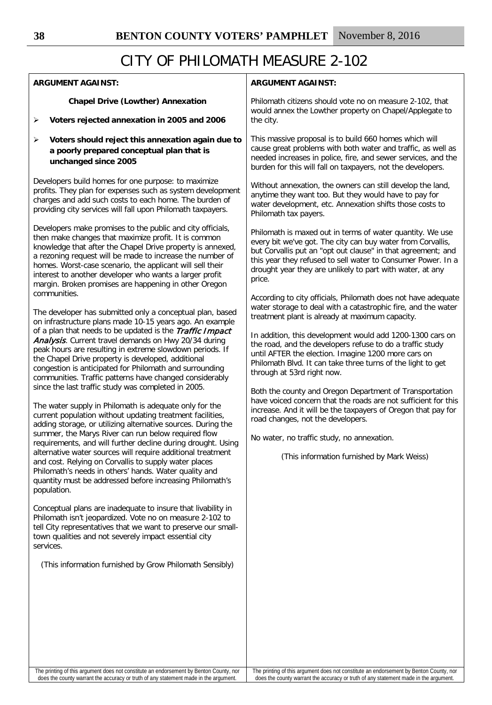| <b>ARGUMENT AGAINST:</b>                                                                                                                                                                                                                                                                                                                                                                                                                                                                                                                                                                                                                                                                                                                                                                                                                                                                                                                                                                                                                                                                                                                                                                                                                                                                                                                                                                                                                                         | <b>ARGUMENT AGAINST:</b>                                                                                                                                                                                                                                                                                                                                                                                                                                                                                                                                                                                                                                                                                                                                                                       |
|------------------------------------------------------------------------------------------------------------------------------------------------------------------------------------------------------------------------------------------------------------------------------------------------------------------------------------------------------------------------------------------------------------------------------------------------------------------------------------------------------------------------------------------------------------------------------------------------------------------------------------------------------------------------------------------------------------------------------------------------------------------------------------------------------------------------------------------------------------------------------------------------------------------------------------------------------------------------------------------------------------------------------------------------------------------------------------------------------------------------------------------------------------------------------------------------------------------------------------------------------------------------------------------------------------------------------------------------------------------------------------------------------------------------------------------------------------------|------------------------------------------------------------------------------------------------------------------------------------------------------------------------------------------------------------------------------------------------------------------------------------------------------------------------------------------------------------------------------------------------------------------------------------------------------------------------------------------------------------------------------------------------------------------------------------------------------------------------------------------------------------------------------------------------------------------------------------------------------------------------------------------------|
| <b>Chapel Drive (Lowther) Annexation</b>                                                                                                                                                                                                                                                                                                                                                                                                                                                                                                                                                                                                                                                                                                                                                                                                                                                                                                                                                                                                                                                                                                                                                                                                                                                                                                                                                                                                                         | Philomath citizens should vote no on measure 2-102, that                                                                                                                                                                                                                                                                                                                                                                                                                                                                                                                                                                                                                                                                                                                                       |
| Voters rejected annexation in 2005 and 2006                                                                                                                                                                                                                                                                                                                                                                                                                                                                                                                                                                                                                                                                                                                                                                                                                                                                                                                                                                                                                                                                                                                                                                                                                                                                                                                                                                                                                      | would annex the Lowther property on Chapel/Applegate to                                                                                                                                                                                                                                                                                                                                                                                                                                                                                                                                                                                                                                                                                                                                        |
| ➤                                                                                                                                                                                                                                                                                                                                                                                                                                                                                                                                                                                                                                                                                                                                                                                                                                                                                                                                                                                                                                                                                                                                                                                                                                                                                                                                                                                                                                                                | the city.                                                                                                                                                                                                                                                                                                                                                                                                                                                                                                                                                                                                                                                                                                                                                                                      |
| Voters should reject this annexation again due to                                                                                                                                                                                                                                                                                                                                                                                                                                                                                                                                                                                                                                                                                                                                                                                                                                                                                                                                                                                                                                                                                                                                                                                                                                                                                                                                                                                                                | This massive proposal is to build 660 homes which will                                                                                                                                                                                                                                                                                                                                                                                                                                                                                                                                                                                                                                                                                                                                         |
| ➤                                                                                                                                                                                                                                                                                                                                                                                                                                                                                                                                                                                                                                                                                                                                                                                                                                                                                                                                                                                                                                                                                                                                                                                                                                                                                                                                                                                                                                                                | cause great problems with both water and traffic, as well as                                                                                                                                                                                                                                                                                                                                                                                                                                                                                                                                                                                                                                                                                                                                   |
| a poorly prepared conceptual plan that is                                                                                                                                                                                                                                                                                                                                                                                                                                                                                                                                                                                                                                                                                                                                                                                                                                                                                                                                                                                                                                                                                                                                                                                                                                                                                                                                                                                                                        | needed increases in police, fire, and sewer services, and the                                                                                                                                                                                                                                                                                                                                                                                                                                                                                                                                                                                                                                                                                                                                  |
| unchanged since 2005                                                                                                                                                                                                                                                                                                                                                                                                                                                                                                                                                                                                                                                                                                                                                                                                                                                                                                                                                                                                                                                                                                                                                                                                                                                                                                                                                                                                                                             | burden for this will fall on taxpayers, not the developers.                                                                                                                                                                                                                                                                                                                                                                                                                                                                                                                                                                                                                                                                                                                                    |
| Developers build homes for one purpose: to maximize                                                                                                                                                                                                                                                                                                                                                                                                                                                                                                                                                                                                                                                                                                                                                                                                                                                                                                                                                                                                                                                                                                                                                                                                                                                                                                                                                                                                              | Without annexation, the owners can still develop the land,                                                                                                                                                                                                                                                                                                                                                                                                                                                                                                                                                                                                                                                                                                                                     |
| profits. They plan for expenses such as system development                                                                                                                                                                                                                                                                                                                                                                                                                                                                                                                                                                                                                                                                                                                                                                                                                                                                                                                                                                                                                                                                                                                                                                                                                                                                                                                                                                                                       | anytime they want too. But they would have to pay for                                                                                                                                                                                                                                                                                                                                                                                                                                                                                                                                                                                                                                                                                                                                          |
| charges and add such costs to each home. The burden of                                                                                                                                                                                                                                                                                                                                                                                                                                                                                                                                                                                                                                                                                                                                                                                                                                                                                                                                                                                                                                                                                                                                                                                                                                                                                                                                                                                                           | water development, etc. Annexation shifts those costs to                                                                                                                                                                                                                                                                                                                                                                                                                                                                                                                                                                                                                                                                                                                                       |
| providing city services will fall upon Philomath taxpayers.                                                                                                                                                                                                                                                                                                                                                                                                                                                                                                                                                                                                                                                                                                                                                                                                                                                                                                                                                                                                                                                                                                                                                                                                                                                                                                                                                                                                      | Philomath tax payers.                                                                                                                                                                                                                                                                                                                                                                                                                                                                                                                                                                                                                                                                                                                                                                          |
| Developers make promises to the public and city officials,<br>then make changes that maximize profit. It is common<br>knowledge that after the Chapel Drive property is annexed,<br>a rezoning request will be made to increase the number of<br>homes. Worst-case scenario, the applicant will sell their<br>interest to another developer who wants a larger profit<br>margin. Broken promises are happening in other Oregon                                                                                                                                                                                                                                                                                                                                                                                                                                                                                                                                                                                                                                                                                                                                                                                                                                                                                                                                                                                                                                   | Philomath is maxed out in terms of water quantity. We use<br>every bit we've got. The city can buy water from Corvallis,<br>but Corvallis put an "opt out clause" in that agreement; and<br>this year they refused to sell water to Consumer Power. In a<br>drought year they are unlikely to part with water, at any<br>price.                                                                                                                                                                                                                                                                                                                                                                                                                                                                |
| communities.<br>The developer has submitted only a conceptual plan, based<br>on infrastructure plans made 10-15 years ago. An example<br>of a plan that needs to be updated is the Traffic Impact<br>Analysis. Current travel demands on Hwy 20/34 during<br>peak hours are resulting in extreme slowdown periods. If<br>the Chapel Drive property is developed, additional<br>congestion is anticipated for Philomath and surrounding<br>communities. Traffic patterns have changed considerably<br>since the last traffic study was completed in 2005.<br>The water supply in Philomath is adequate only for the<br>current population without updating treatment facilities,<br>adding storage, or utilizing alternative sources. During the<br>summer, the Marys River can run below required flow<br>requirements, and will further decline during drought. Using<br>alternative water sources will require additional treatment<br>and cost. Relying on Corvallis to supply water places<br>Philomath's needs in others' hands. Water quality and<br>quantity must be addressed before increasing Philomath's<br>population.<br>Conceptual plans are inadequate to insure that livability in<br>Philomath isn't jeopardized. Vote no on measure 2-102 to<br>tell City representatives that we want to preserve our small-<br>town qualities and not severely impact essential city<br>services.<br>(This information furnished by Grow Philomath Sensibly) | According to city officials, Philomath does not have adequate<br>water storage to deal with a catastrophic fire, and the water<br>treatment plant is already at maximum capacity.<br>In addition, this development would add 1200-1300 cars on<br>the road, and the developers refuse to do a traffic study<br>until AFTER the election. Imagine 1200 more cars on<br>Philomath Blvd. It can take three turns of the light to get<br>through at 53rd right now.<br>Both the county and Oregon Department of Transportation<br>have voiced concern that the roads are not sufficient for this<br>increase. And it will be the taxpayers of Oregon that pay for<br>road changes, not the developers.<br>No water, no traffic study, no annexation.<br>(This information furnished by Mark Weiss) |
| The printing of this argument does not constitute an endorsement by Benton County, nor                                                                                                                                                                                                                                                                                                                                                                                                                                                                                                                                                                                                                                                                                                                                                                                                                                                                                                                                                                                                                                                                                                                                                                                                                                                                                                                                                                           | The printing of this argument does not constitute an endorsement by Benton County, nor                                                                                                                                                                                                                                                                                                                                                                                                                                                                                                                                                                                                                                                                                                         |
| does the county warrant the accuracy or truth of any statement made in the argument.                                                                                                                                                                                                                                                                                                                                                                                                                                                                                                                                                                                                                                                                                                                                                                                                                                                                                                                                                                                                                                                                                                                                                                                                                                                                                                                                                                             | does the county warrant the accuracy or truth of any statement made in the argument.                                                                                                                                                                                                                                                                                                                                                                                                                                                                                                                                                                                                                                                                                                           |

does the county warrant the accuracy or truth of any statement made in the argument.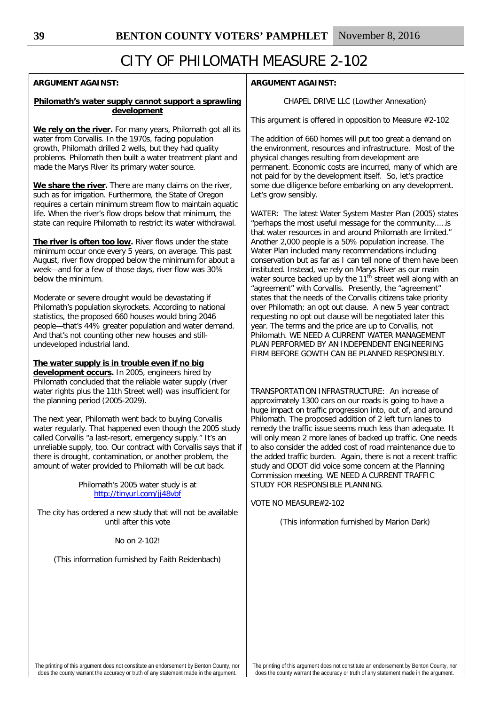## **ARGUMENT AGAINST:**

### **Philomath's water supply cannot support a sprawling development**

**We rely on the river.** For many years, Philomath got all its water from Corvallis. In the 1970s, facing population growth, Philomath drilled 2 wells, but they had quality problems. Philomath then built a water treatment plant and made the Marys River its primary water source.

**We share the river.** There are many claims on the river, such as for irrigation. Furthermore, the State of Oregon requires a certain minimum stream flow to maintain aquatic life. When the river's flow drops below that minimum, the state can require Philomath to restrict its water withdrawal.

**The river is often too low.** River flows under the state minimum occur once every 5 years, on average. This past August, river flow dropped below the minimum for about a week—and for a few of those days, river flow was 30% below the minimum.

Moderate or severe drought would be devastating if Philomath's population skyrockets. According to national statistics, the proposed 660 houses would bring 2046 people—that's 44% greater population and water demand. And that's not counting other new houses and stillundeveloped industrial land.

### **The water supply is in trouble even if no big**

**development occurs.** In 2005, engineers hired by Philomath concluded that the reliable water supply (river water rights plus the 11th Street well) was insufficient for the planning period (2005-2029).

The next year, Philomath went back to buying Corvallis water regularly. That happened even though the 2005 study called Corvallis "a last-resort, emergency supply." It's an unreliable supply, too. Our contract with Corvallis says that if there is drought, contamination, or another problem, the amount of water provided to Philomath will be cut back.

> Philomath's 2005 water study is at <http://tinyurl.com/jj48vbf>

The city has ordered a new study that will not be available until after this vote

No on 2-102!

(This information furnished by Faith Reidenbach)

## **ARGUMENT AGAINST:**

CHAPEL DRIVE LLC (Lowther Annexation)

This argument is offered in opposition to Measure #2-102

The addition of 660 homes will put too great a demand on the environment, resources and infrastructure. Most of the physical changes resulting from development are permanent. Economic costs are incurred, many of which are not paid for by the development itself. So, let's practice some due diligence before embarking on any development. Let's grow sensibly.

WATER: The latest Water System Master Plan (2005) states "perhaps the most useful message for the community..…is that water resources in and around Philomath are limited." Another 2,000 people is a 50% population increase. The Water Plan included many recommendations including conservation but as far as I can tell none of them have been instituted. Instead, we rely on Marys River as our main water source backed up by the 11<sup>th</sup> street well along with an "agreement" with Corvallis. Presently, the "agreement" states that the needs of the Corvallis citizens take priority over Philomath; an opt out clause. A new 5 year contract requesting no opt out clause will be negotiated later this year. The terms and the price are up to Corvallis, not Philomath. WE NEED A CURRENT WATER MANAGEMENT PLAN PERFORMED BY AN INDEPENDENT ENGINEERING FIRM BEFORE GOWTH CAN BE PLANNED RESPONSIBLY.

TRANSPORTATION INFRASTRUCTURE: An increase of approximately 1300 cars on our roads is going to have a huge impact on traffic progression into, out of, and around Philomath. The proposed addition of 2 left turn lanes to remedy the traffic issue seems much less than adequate. It will only mean 2 more lanes of backed up traffic. One needs to also consider the added cost of road maintenance due to the added traffic burden. Again, there is not a recent traffic study and ODOT did voice some concern at the Planning Commission meeting. WE NEED A CURRENT TRAFFIC STUDY FOR RESPONSIBLE PLANNING.

VOTE NO MEASURE#2-102

(This information furnished by Marion Dark)

The printing of this argument does not constitute an endorsement by Benton County, nor does the county warrant the accuracy or truth of any statement made in the argument.